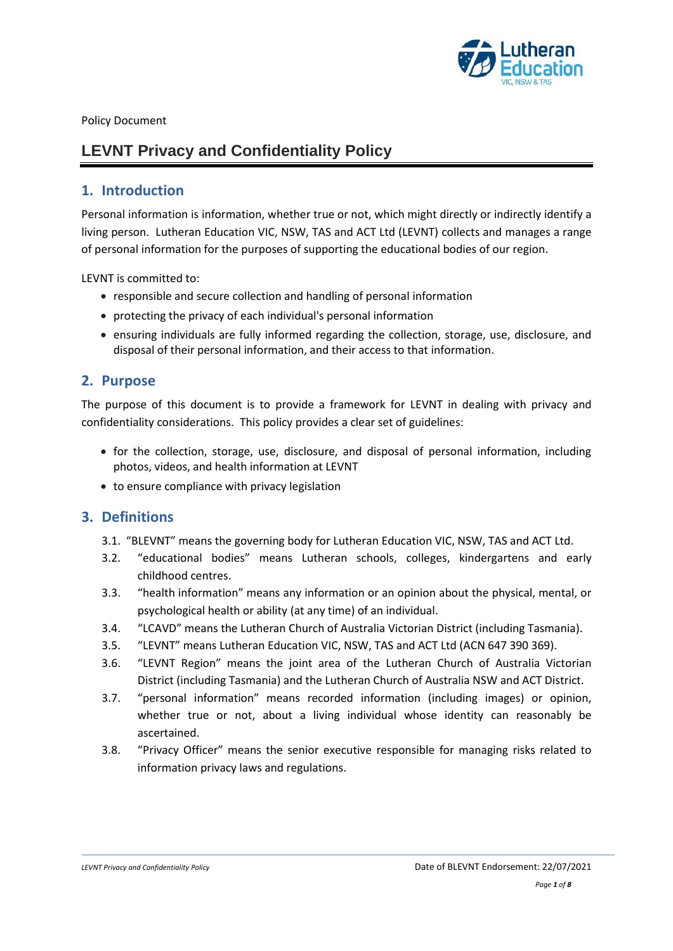

Policy Document

# **LEVNT Privacy and Confidentiality Policy**

# **1. Introduction**

Personal information is information, whether true or not, which might directly or indirectly identify a living person. Lutheran Education VIC, NSW, TAS and ACT Ltd (LEVNT) collects and manages a range of personal information for the purposes of supporting the educational bodies of our region.

LEVNT is committed to:

- responsible and secure collection and handling of personal information
- protecting the privacy of each individual's personal information
- ensuring individuals are fully informed regarding the collection, storage, use, disclosure, and disposal of their personal information, and their access to that information.

# **2. Purpose**

The purpose of this document is to provide a framework for LEVNT in dealing with privacy and confidentiality considerations. This policy provides a clear set of guidelines:

- for the collection, storage, use, disclosure, and disposal of personal information, including photos, videos, and health information at LEVNT
- to ensure compliance with privacy legislation

## **3. Definitions**

- 3.1. "BLEVNT" means the governing body for Lutheran Education VIC, NSW, TAS and ACT Ltd.
- 3.2. "educational bodies" means Lutheran schools, colleges, kindergartens and early childhood centres.
- 3.3. "health information" means any information or an opinion about the physical, mental, or psychological health or ability (at any time) of an individual.
- 3.4. "LCAVD" means the Lutheran Church of Australia Victorian District (including Tasmania).
- 3.5. "LEVNT" means Lutheran Education VIC, NSW, TAS and ACT Ltd (ACN 647 390 369).
- 3.6. "LEVNT Region" means the joint area of the Lutheran Church of Australia Victorian District (including Tasmania) and the Lutheran Church of Australia NSW and ACT District.
- 3.7. "personal information" means recorded information (including images) or opinion, whether true or not, about a living individual whose identity can reasonably be ascertained.
- 3.8. "Privacy Officer" means the senior executive responsible for managing risks related to information privacy laws and regulations.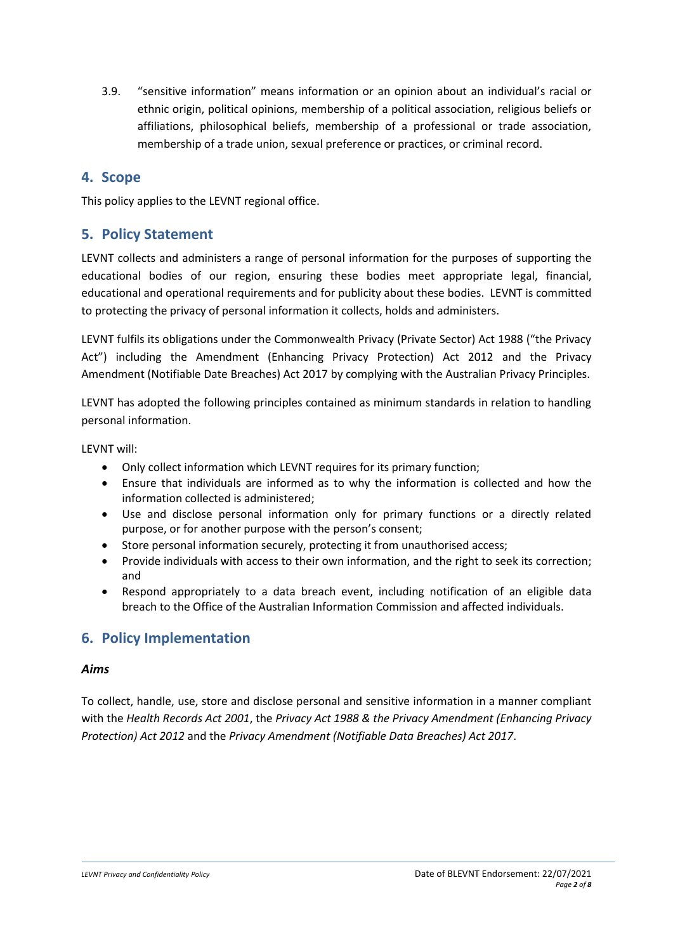3.9. "sensitive information" means information or an opinion about an individual's racial or ethnic origin, political opinions, membership of a political association, religious beliefs or affiliations, philosophical beliefs, membership of a professional or trade association, membership of a trade union, sexual preference or practices, or criminal record.

# **4. Scope**

This policy applies to the LEVNT regional office.

# **5. Policy Statement**

LEVNT collects and administers a range of personal information for the purposes of supporting the educational bodies of our region, ensuring these bodies meet appropriate legal, financial, educational and operational requirements and for publicity about these bodies. LEVNT is committed to protecting the privacy of personal information it collects, holds and administers.

LEVNT fulfils its obligations under the Commonwealth Privacy (Private Sector) Act 1988 ("the Privacy Act") including the Amendment (Enhancing Privacy Protection) Act 2012 and the Privacy Amendment (Notifiable Date Breaches) Act 2017 by complying with the Australian Privacy Principles.

LEVNT has adopted the following principles contained as minimum standards in relation to handling personal information.

LEVNT will:

- Only collect information which LEVNT requires for its primary function;
- Ensure that individuals are informed as to why the information is collected and how the information collected is administered;
- Use and disclose personal information only for primary functions or a directly related purpose, or for another purpose with the person's consent;
- Store personal information securely, protecting it from unauthorised access;
- Provide individuals with access to their own information, and the right to seek its correction; and
- Respond appropriately to a data breach event, including notification of an eligible data breach to the Office of the Australian Information Commission and affected individuals.

# **6. Policy Implementation**

## *Aims*

To collect, handle, use, store and disclose personal and sensitive information in a manner compliant with the *Health Records Act 2001*, the *Privacy Act 1988 & the Privacy Amendment (Enhancing Privacy Protection) Act 2012* and the *Privacy Amendment (Notifiable Data Breaches) Act 2017*.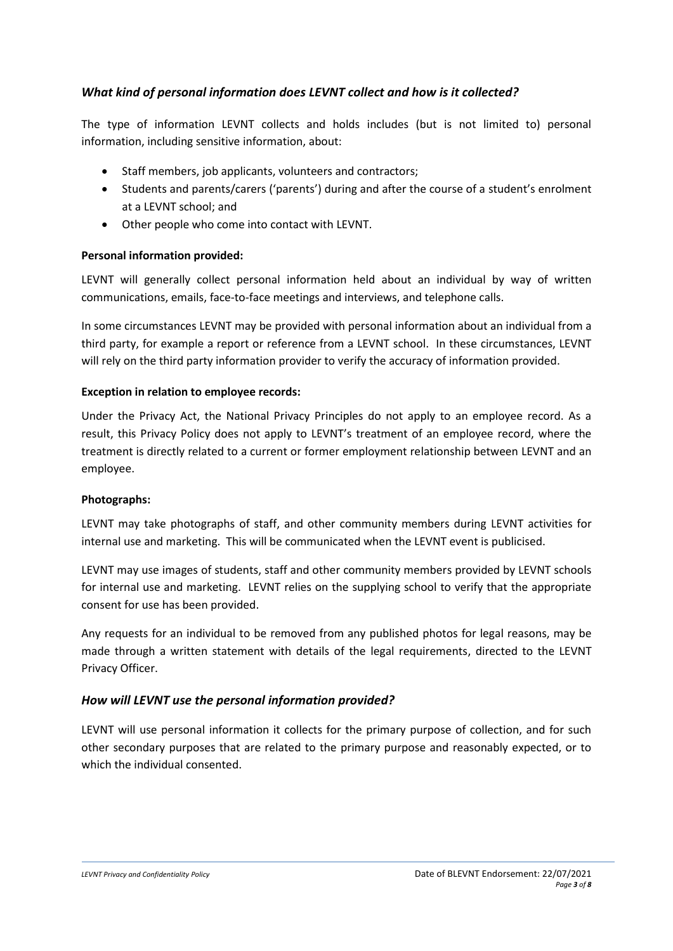# *What kind of personal information does LEVNT collect and how is it collected?*

The type of information LEVNT collects and holds includes (but is not limited to) personal information, including sensitive information, about:

- Staff members, job applicants, volunteers and contractors;
- Students and parents/carers ('parents') during and after the course of a student's enrolment at a LEVNT school; and
- Other people who come into contact with LEVNT.

## **Personal information provided:**

LEVNT will generally collect personal information held about an individual by way of written communications, emails, face-to-face meetings and interviews, and telephone calls.

In some circumstances LEVNT may be provided with personal information about an individual from a third party, for example a report or reference from a LEVNT school. In these circumstances, LEVNT will rely on the third party information provider to verify the accuracy of information provided.

#### **Exception in relation to employee records:**

Under the Privacy Act, the National Privacy Principles do not apply to an employee record. As a result, this Privacy Policy does not apply to LEVNT's treatment of an employee record, where the treatment is directly related to a current or former employment relationship between LEVNT and an employee.

#### **Photographs:**

LEVNT may take photographs of staff, and other community members during LEVNT activities for internal use and marketing. This will be communicated when the LEVNT event is publicised.

LEVNT may use images of students, staff and other community members provided by LEVNT schools for internal use and marketing. LEVNT relies on the supplying school to verify that the appropriate consent for use has been provided.

Any requests for an individual to be removed from any published photos for legal reasons, may be made through a written statement with details of the legal requirements, directed to the LEVNT Privacy Officer.

## *How will LEVNT use the personal information provided?*

LEVNT will use personal information it collects for the primary purpose of collection, and for such other secondary purposes that are related to the primary purpose and reasonably expected, or to which the individual consented.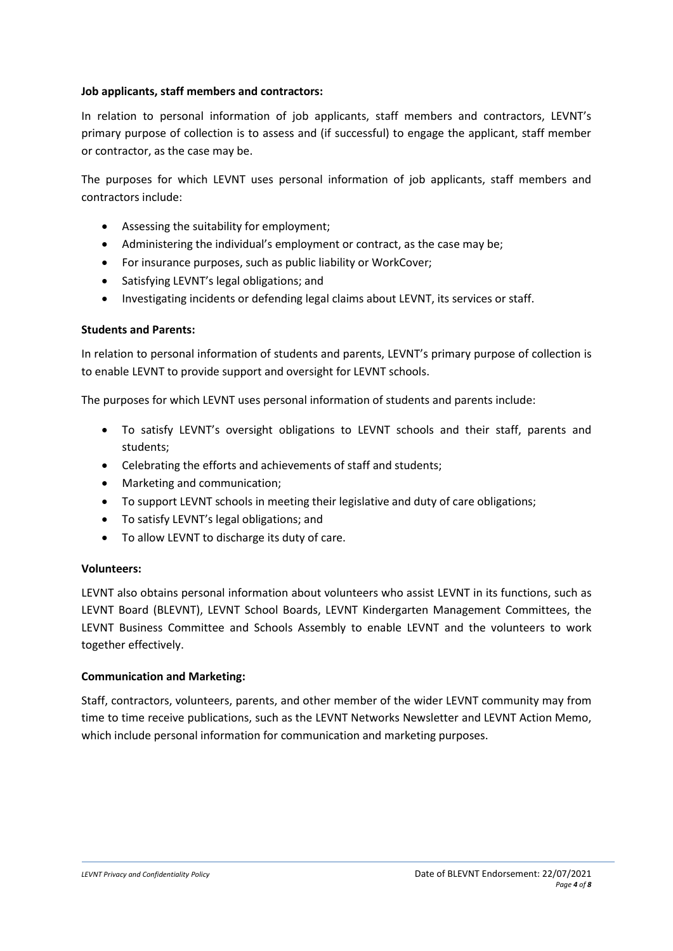#### **Job applicants, staff members and contractors:**

In relation to personal information of job applicants, staff members and contractors, LEVNT's primary purpose of collection is to assess and (if successful) to engage the applicant, staff member or contractor, as the case may be.

The purposes for which LEVNT uses personal information of job applicants, staff members and contractors include:

- Assessing the suitability for employment;
- Administering the individual's employment or contract, as the case may be;
- For insurance purposes, such as public liability or WorkCover;
- Satisfying LEVNT's legal obligations; and
- Investigating incidents or defending legal claims about LEVNT, its services or staff.

#### **Students and Parents:**

In relation to personal information of students and parents, LEVNT's primary purpose of collection is to enable LEVNT to provide support and oversight for LEVNT schools.

The purposes for which LEVNT uses personal information of students and parents include:

- To satisfy LEVNT's oversight obligations to LEVNT schools and their staff, parents and students;
- Celebrating the efforts and achievements of staff and students;
- Marketing and communication;
- To support LEVNT schools in meeting their legislative and duty of care obligations;
- To satisfy LEVNT's legal obligations; and
- To allow LEVNT to discharge its duty of care.

#### **Volunteers:**

LEVNT also obtains personal information about volunteers who assist LEVNT in its functions, such as LEVNT Board (BLEVNT), LEVNT School Boards, LEVNT Kindergarten Management Committees, the LEVNT Business Committee and Schools Assembly to enable LEVNT and the volunteers to work together effectively.

#### **Communication and Marketing:**

Staff, contractors, volunteers, parents, and other member of the wider LEVNT community may from time to time receive publications, such as the LEVNT Networks Newsletter and LEVNT Action Memo, which include personal information for communication and marketing purposes.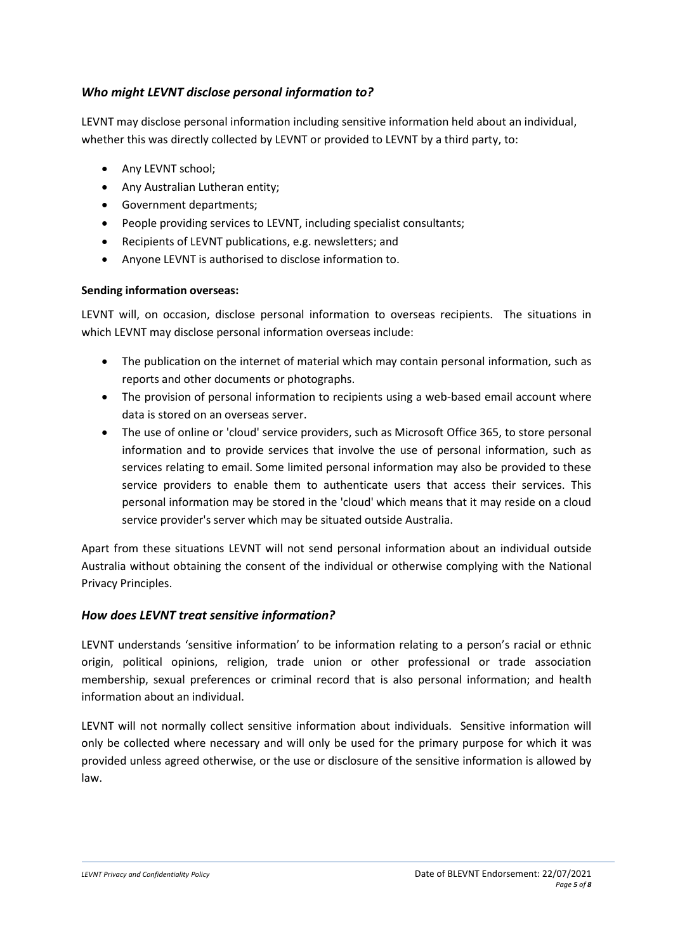# *Who might LEVNT disclose personal information to?*

LEVNT may disclose personal information including sensitive information held about an individual, whether this was directly collected by LEVNT or provided to LEVNT by a third party, to:

- Any LEVNT school;
- Any Australian Lutheran entity;
- Government departments;
- People providing services to LEVNT, including specialist consultants;
- Recipients of LEVNT publications, e.g. newsletters; and
- Anyone LEVNT is authorised to disclose information to.

## **Sending information overseas:**

LEVNT will, on occasion, disclose personal information to overseas recipients. The situations in which LEVNT may disclose personal information overseas include:

- The publication on the internet of material which may contain personal information, such as reports and other documents or photographs.
- The provision of personal information to recipients using a web-based email account where data is stored on an overseas server.
- The use of online or 'cloud' service providers, such as Microsoft Office 365, to store personal information and to provide services that involve the use of personal information, such as services relating to email. Some limited personal information may also be provided to these service providers to enable them to authenticate users that access their services. This personal information may be stored in the 'cloud' which means that it may reside on a cloud service provider's server which may be situated outside Australia.

Apart from these situations LEVNT will not send personal information about an individual outside Australia without obtaining the consent of the individual or otherwise complying with the National Privacy Principles.

# *How does LEVNT treat sensitive information?*

LEVNT understands 'sensitive information' to be information relating to a person's racial or ethnic origin, political opinions, religion, trade union or other professional or trade association membership, sexual preferences or criminal record that is also personal information; and health information about an individual.

LEVNT will not normally collect sensitive information about individuals. Sensitive information will only be collected where necessary and will only be used for the primary purpose for which it was provided unless agreed otherwise, or the use or disclosure of the sensitive information is allowed by law.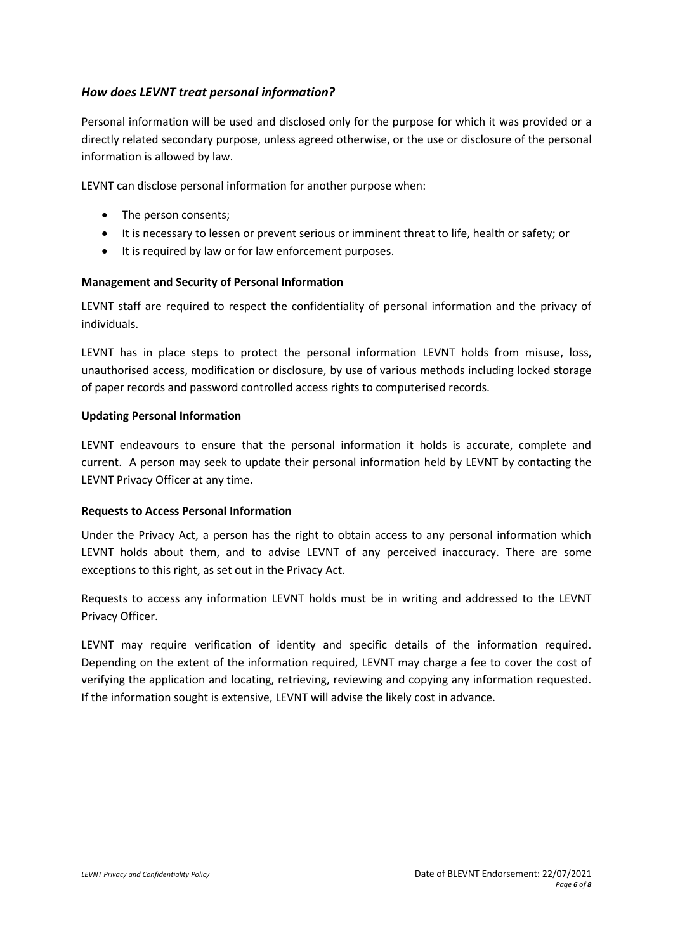# *How does LEVNT treat personal information?*

Personal information will be used and disclosed only for the purpose for which it was provided or a directly related secondary purpose, unless agreed otherwise, or the use or disclosure of the personal information is allowed by law.

LEVNT can disclose personal information for another purpose when:

- The person consents;
- It is necessary to lessen or prevent serious or imminent threat to life, health or safety; or
- It is required by law or for law enforcement purposes.

#### **Management and Security of Personal Information**

LEVNT staff are required to respect the confidentiality of personal information and the privacy of individuals.

LEVNT has in place steps to protect the personal information LEVNT holds from misuse, loss, unauthorised access, modification or disclosure, by use of various methods including locked storage of paper records and password controlled access rights to computerised records.

#### **Updating Personal Information**

LEVNT endeavours to ensure that the personal information it holds is accurate, complete and current. A person may seek to update their personal information held by LEVNT by contacting the LEVNT Privacy Officer at any time.

#### **Requests to Access Personal Information**

Under the Privacy Act, a person has the right to obtain access to any personal information which LEVNT holds about them, and to advise LEVNT of any perceived inaccuracy. There are some exceptions to this right, as set out in the Privacy Act.

Requests to access any information LEVNT holds must be in writing and addressed to the LEVNT Privacy Officer.

LEVNT may require verification of identity and specific details of the information required. Depending on the extent of the information required, LEVNT may charge a fee to cover the cost of verifying the application and locating, retrieving, reviewing and copying any information requested. If the information sought is extensive, LEVNT will advise the likely cost in advance.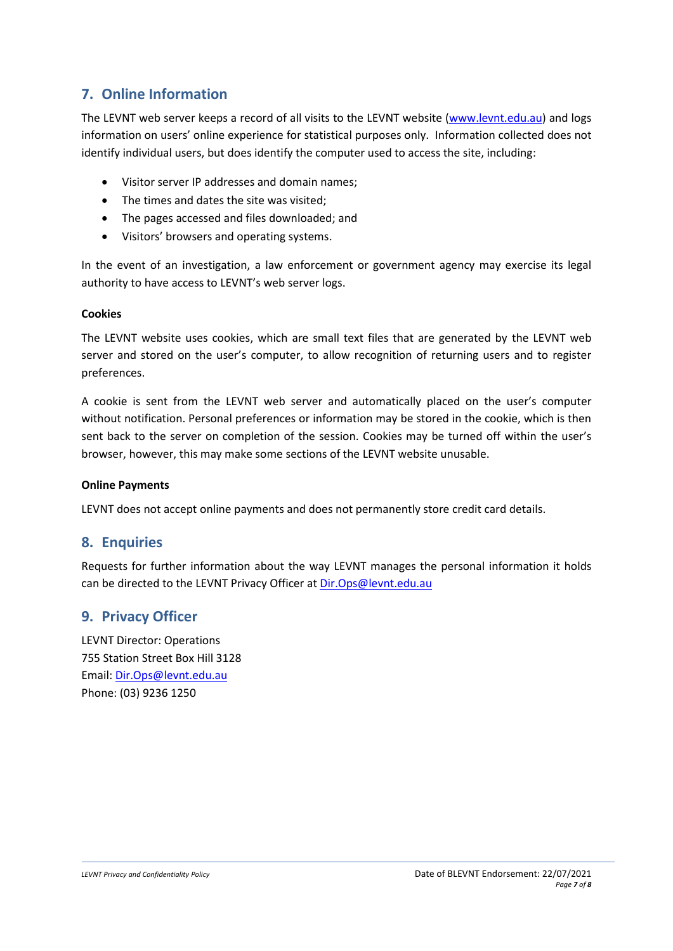# **7. Online Information**

The LEVNT web server keeps a record of all visits to the LEVNT website [\(www.levnt.edu.au\)](http://www.levnt.edu.au/) and logs information on users' online experience for statistical purposes only. Information collected does not identify individual users, but does identify the computer used to access the site, including:

- Visitor server IP addresses and domain names;
- The times and dates the site was visited;
- The pages accessed and files downloaded; and
- Visitors' browsers and operating systems.

In the event of an investigation, a law enforcement or government agency may exercise its legal authority to have access to LEVNT's web server logs.

#### **Cookies**

The LEVNT website uses cookies, which are small text files that are generated by the LEVNT web server and stored on the user's computer, to allow recognition of returning users and to register preferences.

A cookie is sent from the LEVNT web server and automatically placed on the user's computer without notification. Personal preferences or information may be stored in the cookie, which is then sent back to the server on completion of the session. Cookies may be turned off within the user's browser, however, this may make some sections of the LEVNT website unusable.

## **Online Payments**

LEVNT does not accept online payments and does not permanently store credit card details.

# **8. Enquiries**

Requests for further information about the way LEVNT manages the personal information it holds can be directed to the LEVNT Privacy Officer at [Dir.Ops@levnt.edu.au](mailto:operations@levnt.edu.au)

# **9. Privacy Officer**

LEVNT Director: Operations 755 Station Street Box Hill 3128 Email: [Dir.Ops@levnt.edu.au](mailto:operations@levnt.edu.au) Phone: (03) 9236 1250